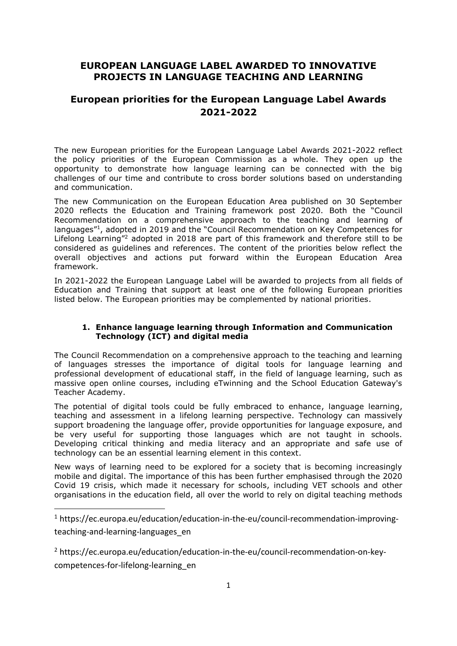## **EUROPEAN LANGUAGE LABEL AWARDED TO INNOVATIVE PROJECTS IN LANGUAGE TEACHING AND LEARNING**

# **European priorities for the European Language Label Awards 2021-2022**

The new European priorities for the European Language Label Awards 2021-2022 reflect the policy priorities of the European Commission as a whole. They open up the opportunity to demonstrate how language learning can be connected with the big challenges of our time and contribute to cross border solutions based on understanding and communication.

The new Communication on the European Education Area published on 30 September 2020 reflects the Education and Training framework post 2020. Both the "Council Recommendation on a comprehensive approach to the teaching and learning of languages<sup>"1</sup>, adopted in 2019 and the "Council Recommendation on Key Competences for [Lifelong Learning](https://eur-lex.europa.eu/legal-content/EN/TXT/?uri=uriserv:OJ.C_.2018.189.01.0001.01.ENG&toc=OJ:C:2018:189:TOC)"<sup>2</sup> adopted in 2018 are part of this framework and therefore still to be considered as guidelines and references. The content of the priorities below reflect the overall objectives and actions put forward within the European Education Area framework.

In 2021-2022 the European Language Label will be awarded to projects from all fields of Education and Training that support at least one of the following European priorities listed below. The European priorities may be complemented by national priorities.

#### **1. Enhance language learning through Information and Communication Technology (ICT) and digital media**

The Council Recommendation on a comprehensive approach to the teaching and learning of languages stresses the importance of digital tools for language learning and professional development of educational staff, in the field of language learning, such as massive open online courses, including eTwinning and the School Education Gateway's Teacher Academy.

The potential of digital tools could be fully embraced to enhance, language learning, teaching and assessment in a lifelong learning perspective. Technology can massively support broadening the language offer, provide opportunities for language exposure, and be very useful for supporting those languages which are not taught in schools. Developing critical thinking and media literacy and an appropriate and safe use of technology can be an essential learning element in this context.

New ways of learning need to be explored for a society that is becoming increasingly mobile and digital. The importance of this has been further emphasised through the 2020 Covid 19 crisis, which made it necessary for schools, including VET schools and other organisations in the education field, all over the world to rely on digital teaching methods

**.** 

<sup>1</sup> https://ec.europa.eu/education/education-in-the-eu/council-recommendation-improvingteaching-and-learning-languages\_en

<sup>2</sup> https://ec.europa.eu/education/education-in-the-eu/council-recommendation-on-keycompetences-for-lifelong-learning\_en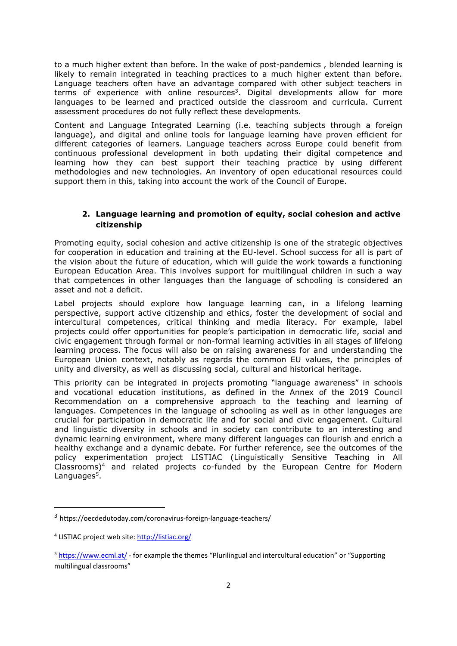to a much higher extent than before. In the wake of post-pandemics , blended learning is likely to remain integrated in teaching practices to a much higher extent than before. Language teachers often have an advantage compared with other subject teachers in terms of experience with online resources<sup>3</sup>. Digital developments allow for more languages to be learned and practiced outside the classroom and curricula. Current assessment procedures do not fully reflect these developments.

Content and Language Integrated Learning (i.e. teaching subjects through a foreign language), and digital and online tools for language learning have proven efficient for different categories of learners. Language teachers across Europe could benefit from continuous professional development in both updating their digital competence and learning how they can best support their teaching practice by using different methodologies and new technologies. An inventory of open educational resources could support them in this, taking into account the work of the Council of Europe.

#### **2. Language learning and promotion of equity, social cohesion and active citizenship**

Promoting equity, social cohesion and active citizenship is one of the strategic objectives for cooperation in education and training at the EU-level. School success for all is part of the vision about the future of education, which will guide the work towards a functioning European Education Area. This involves support for multilingual children in such a way that competences in other languages than the language of schooling is considered an asset and not a deficit.

Label projects should explore how language learning can, in a lifelong learning perspective, support active citizenship and ethics, foster the development of social and intercultural competences, critical thinking and media literacy. For example, label projects could offer opportunities for people's participation in democratic life, social and civic engagement through formal or non-formal learning activities in all stages of lifelong learning process. The focus will also be on raising awareness for and understanding the European Union context, notably as regards the common EU values, the principles of unity and diversity, as well as discussing social, cultural and historical heritage.

This priority can be integrated in projects promoting "language awareness" in schools and vocational education institutions, as defined in the Annex of the 2019 Council Recommendation on a comprehensive approach to the teaching and learning of languages. Competences in the language of schooling as well as in other languages are crucial for participation in democratic life and for social and civic engagement. Cultural and linguistic diversity in schools and in society can contribute to an interesting and dynamic learning environment, where many different languages can flourish and enrich a healthy exchange and a dynamic debate. For further reference, see the outcomes of the policy experimentation project LISTIAC (Linguistically Sensitive Teaching in All  $Classrooms)^4$  and related projects co-funded by the European Centre for Modern Languages<sup>5</sup>.

1

<sup>3</sup> <https://oecdedutoday.com/coronavirus-foreign-language-teachers/>

<sup>&</sup>lt;sup>4</sup> LISTIAC project web site:<http://listiac.org/>

<sup>&</sup>lt;sup>5</sup> <https://www.ecml.at/> - for example the themes "Plurilingual and intercultural education" or "Supporting multilingual classrooms"